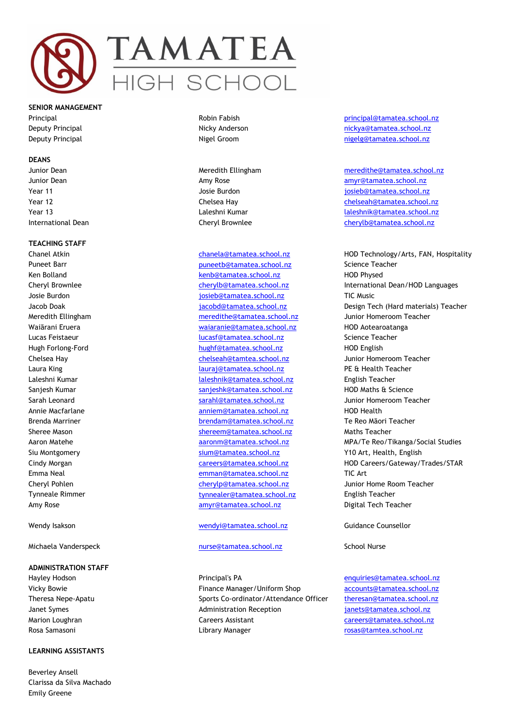

**SENIOR MANAGEMENT**

#### **DEANS**

# **TEACHING STAFF**

#### **ADMINISTRATION STAFF**

#### **LEARNING ASSISTANTS**

Beverley Ansell Clarissa da Silva Machado Emily Greene

Puneet Barr [puneetb@tamatea.school.nz](mailto:puneetb@tamatea.school.nz) Science Teacher Ken Bolland **Kenb@tamatea.school.nz** HOD Physed Josie Burdon **in the set of the set of the set of the set of the set of the set of the set of the set of the set of the set of the set of the set of the set of the set of the set of the set of the set of the set of the set** Meredith Ellingham [meredithe@tamatea.school.nz](mailto:meredithe@tamatea.school.nz) Junior Homeroom Teacher Waiārani Eruera [waiaranie@tamatea.school.nz](mailto:waiaranie@tamatea.school.nz) HOD Aotearoatanga Lucas Feistaeur [lucasf@tamatea.school.nz](mailto:lucasf@tamatea.school.nz) Science Teacher Hugh Forlong-Ford [hughf@tamatea.school.nz](mailto:hughf@tamatea.school.nz) HOD English Chelsea Hay [chelseah@tamtea.school.nz](mailto:chelseah@tamtea.school.nz) Junior Homeroom Teacher Laura King [lauraj@tamatea.school.nz](mailto:lauraj@tamatea.school.nz) PE & Health Teacher Laleshni Kumar [laleshnik@tamatea.school.nz](mailto:laleshnik@tamatea.school.nz) English Teacher Sanjesh Kumar Sanjeshk@tamatea.school.nz HOD Maths & Science Sarah Leonard Sarah Sarahl@tamatea.school.nz Junior Homeroom Teacher Annie Macfarlane anniem@tamatea.school.nz HOD Health Brenda Marriner [brendam@tamatea.school.nz](mailto:brendam@tamatea.school.nz) Te Reo Māori Teacher Sheree Mason [shereem@tamatea.school.nz](mailto:shereem@tamatea.school.nz) Maths Teacher Siu Montgomery [sium@tamatea.school.nz](mailto:sium@tamatea.school.nz) Y10 Art, Health, English Emma Neal [emman@tamatea.school.nz](mailto:emman@tamatea.school.nz) TIC Art Cheryl Pohlen [cherylp@tamatea.school.nz](mailto:cherylp@tamatea.school.nz) Junior Home Room Teacher Tynneale Rimmer **[tynnealer@tamatea.school.nz](mailto:tynnealer@tamatea.school.nz)** English Teacher Amy Rose [amyr@tamatea.school.nz](mailto:amyr@tamatea.school.nz) Digital Tech Teacher

# Wendy Isakson [wendyi@tamatea.school.nz](mailto:wendyi@tamatea.school.nz) Guidance Counsellor

## Michaela Vanderspeck [nurse@tamatea.school.nz](mailto:nurse@tamatea.school.nz) School Nurse

Hayley Hodson **Entity Principal's PA** entity Principal's PA entity Principal's PA entity Principal's PA entity Principal's PA entity Principal's PA entity Principal's PA entity Principal's PA entity Principal's PA entity P Vicky Bowie Finance Manager/Uniform Shop [accounts@tamatea.school.nz](mailto:accounts@tamatea.school.nz) Theresa Nepe-Apatu Sports Co-ordinator/Attendance Officer theresan@tamatea.school.nz Janet Symes Administration Reception janets@tamatea.school.nz Marion Loughran Careers Assistant Careers Assistant careers **Careers** Careers Canadian Careers Careers Canadian Careers Canadian Careers Careers Canadian Careers Canadian Careers Canadian Careers Canadian Careers Canadian Rosa Samasoni and a many membersity of the Library Manager and the controller [rosas@tamtea.school.nz](mailto:rosas@tamtea.school.nz)

Principal **Principal Robin Fabish principal** Robin Fabish principal **principal Camatea.school.nz** Deputy Principal Nicky Anderson [nickya@tamatea.school.nz](mailto:nickya@tamatea.school.nz) Deputy Principal Nigel Groom [nigelg@tamatea.school.nz](mailto:nigelg@tamatea.school.nz)

Junior Dean Meredith Ellingham [meredithe@tamatea.school.nz](mailto:meredithe@tamatea.school.nz) Junior Dean **Amy Rose** Amy Rose and Amy Rose [amyr@tamatea.school.nz](mailto:amyr@tamatea.school.nz) Year 11 Josie Burdon [josieb@tamatea.school.nz](mailto:josieb@tamatea.school.nz) Year 12 Chelsea Hay [chelseah@tamatea.school.nz](mailto:chelseah@tamatea.school.nz) Year 13 Laleshni Kumar [laleshnik@tamatea.school.nz](mailto:laleshnik@tamatea.school.nz) International Dean Cheryl Brownlee [cherylb@tamatea.school.nz](mailto:cherylb@tamatea.school.nz)

Chanel Atkin [chanela@tamatea.school.nz](mailto:chanela@tamatea.school.nz) HOD Technology/Arts, FAN, Hospitality Cheryl Brownlee cherylb@tamatea.school.nz International Dean/HOD Languages Jacob Doak **in the substitute of the set of the set of the set of the set of the set of the set of the set of t** Aaron Matehe aaronm and aaronm@tamatea.school.nz aronm MPA/Te Reo/Tikanga/Social Studies Cindy Morgan **careers@tamatea.school.nz** HOD Careers/Gateway/Trades/STAR